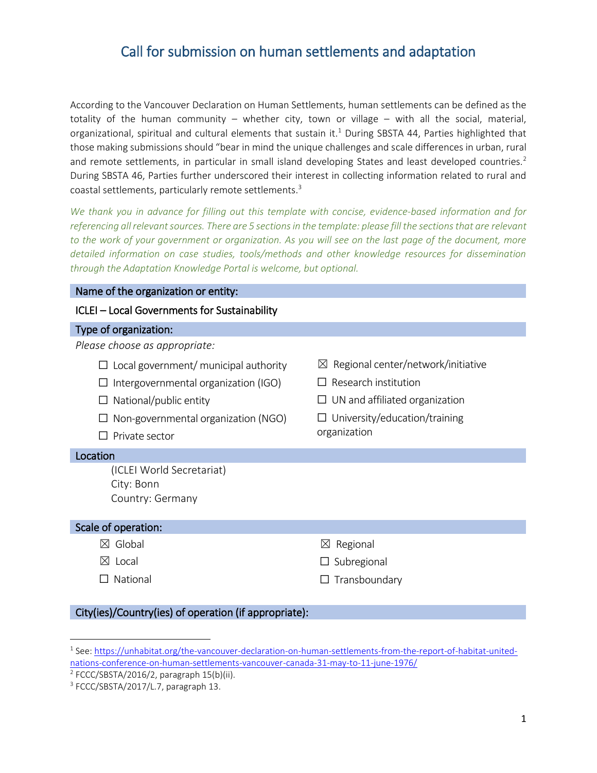# Call for submission on human settlements and adaptation

According to the Vancouver Declaration on Human Settlements, human settlements can be defined as the totality of the human community – whether city, town or village – with all the social, material, organizational, spiritual and cultural elements that sustain it.<sup>1</sup> During SBSTA 44, Parties highlighted that those making submissions should "bear in mind the unique challenges and scale differences in urban, rural and remote settlements, in particular in small island developing States and least developed countries.<sup>2</sup> During SBSTA 46, Parties further underscored their interest in collecting information related to rural and coastal settlements, particularly remote settlements.<sup>3</sup>

*We thank you in advance for filling out this template with concise, evidence-based information and for referencing all relevant sources. There are 5 sections in the template: please fill the sections that are relevant to the work of your government or organization. As you will see on the last page of the document, more detailed information on case studies, tools/methods and other knowledge resources for dissemination through the Adaptation Knowledge Portal is welcome, but optional.*

| Name of the organization or entity:                                                                                                                        |                                                 |
|------------------------------------------------------------------------------------------------------------------------------------------------------------|-------------------------------------------------|
| ICLEI - Local Governments for Sustainability                                                                                                               |                                                 |
| Type of organization:                                                                                                                                      |                                                 |
| Please choose as appropriate:                                                                                                                              |                                                 |
| $\Box$ Local government/ municipal authority                                                                                                               | Regional center/network/initiative<br>$\bowtie$ |
| Intergovernmental organization (IGO)                                                                                                                       | Research institution                            |
| National/public entity                                                                                                                                     | UN and affiliated organization                  |
| Non-governmental organization (NGO)                                                                                                                        | University/education/training                   |
| Private sector                                                                                                                                             | organization                                    |
| Location                                                                                                                                                   |                                                 |
| (ICLEI World Secretariat)                                                                                                                                  |                                                 |
| City: Bonn                                                                                                                                                 |                                                 |
| Country: Germany                                                                                                                                           |                                                 |
| Scale of operation:                                                                                                                                        |                                                 |
| $\boxtimes$ Global                                                                                                                                         | $\boxtimes$ Regional                            |
| $\boxtimes$ Local                                                                                                                                          | Subregional                                     |
| National<br>П                                                                                                                                              | Transboundary                                   |
| $\alpha$ , $\beta$ , $\beta$ , $\alpha$ , $\beta$ , $\beta$ , $\beta$ , $\beta$ , $\beta$ , $\beta$ , $\beta$ , $\beta$ , $\beta$ , $\beta$<br>$1.1 - 1.1$ |                                                 |

#### City(ies)/Country(ies) of operation (if appropriate):

 $\overline{\phantom{a}}$ 

<sup>&</sup>lt;sup>1</sup> See: [https://unhabitat.org/the-vancouver-declaration-on-human-settlements-from-the-report-of-habitat-united](https://unhabitat.org/the-vancouver-declaration-on-human-settlements-from-the-report-of-habitat-united-nations-conference-on-human-settlements-vancouver-canada-31-may-to-11-june-1976/)[nations-conference-on-human-settlements-vancouver-canada-31-may-to-11-june-1976/](https://unhabitat.org/the-vancouver-declaration-on-human-settlements-from-the-report-of-habitat-united-nations-conference-on-human-settlements-vancouver-canada-31-may-to-11-june-1976/)

<sup>&</sup>lt;sup>2</sup> FCCC/SBSTA/2016/2, paragraph 15(b)(ii).

<sup>&</sup>lt;sup>3</sup> FCCC/SBSTA/2017/L.7, paragraph 13.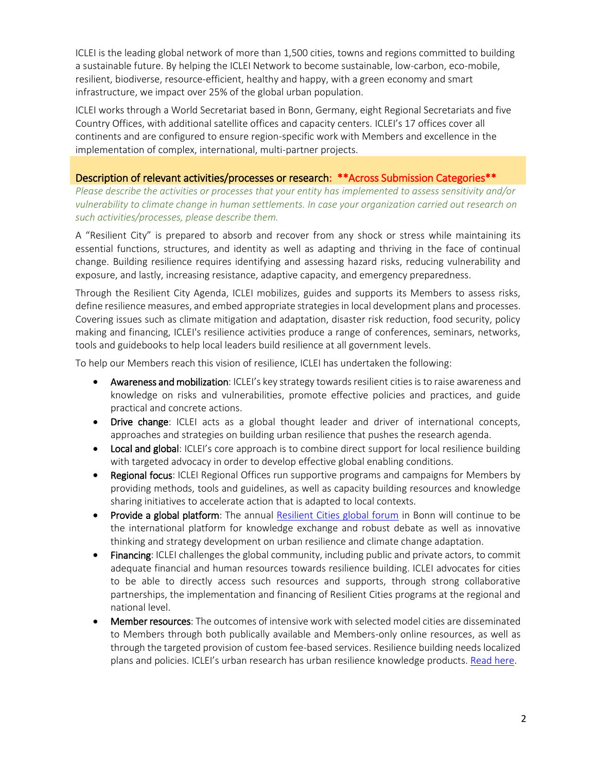ICLEI is the leading global network of more than 1,500 cities, towns and regions committed to building a sustainable future. By helping the ICLEI Network to become sustainable, low-carbon, eco-mobile, resilient, biodiverse, resource-efficient, healthy and happy, with a green economy and smart infrastructure, we impact over 25% of the global urban population.

ICLEI works through a World Secretariat based in Bonn, Germany, eight Regional Secretariats and five Country Offices, with additional satellite offices and capacity centers. ICLEI's 17 offices cover all continents and are configured to ensure region-specific work with Members and excellence in the implementation of complex, international, multi-partner projects.

## Description of relevant activities/processes or research:\*\*Across Submission Categories\*\*

*Please describe the activities or processes that your entity has implemented to assess sensitivity and/or vulnerability to climate change in human settlements. In case your organization carried out research on such activities/processes, please describe them.*

A "Resilient City" is prepared to absorb and recover from any shock or stress while maintaining its essential functions, structures, and identity as well as adapting and thriving in the face of continual change. Building resilience requires identifying and assessing hazard risks, reducing vulnerability and exposure, and lastly, increasing resistance, adaptive capacity, and emergency preparedness.

Through the Resilient City Agenda, ICLEI mobilizes, guides and supports its Members to assess risks, define resilience measures, and embed appropriate strategies in local development plans and processes. Covering issues such as climate mitigation and adaptation, disaster risk reduction, food security, policy making and financing, ICLEI's resilience activities produce a range of conferences, seminars, networks, tools and guidebooks to help local leaders build resilience at all government levels.

To help our Members reach this vision of resilience, ICLEI has undertaken the following:

- Awareness and mobilization: ICLEI's key strategy towards resilient cities is to raise awareness and knowledge on risks and vulnerabilities, promote effective policies and practices, and guide practical and concrete actions.
- **Drive change:** ICLEI acts as a global thought leader and driver of international concepts, approaches and strategies on building urban resilience that pushes the research agenda.
- Local and global: ICLEI's core approach is to combine direct support for local resilience building with targeted advocacy in order to develop effective global enabling conditions.
- **Regional focus:** ICLEI Regional Offices run supportive programs and campaigns for Members by providing methods, tools and guidelines, as well as capacity building resources and knowledge sharing initiatives to accelerate action that is adapted to local contexts.
- Provide a global platform: The annual [Resilient Cities global forum](http://resilient-cities.iclei.org/) in Bonn will continue to be the international platform for knowledge exchange and robust debate as well as innovative thinking and strategy development on urban resilience and climate change adaptation.
- Financing: ICLEI challenges the global community, including public and private actors, to commit adequate financial and human resources towards resilience building. ICLEI advocates for cities to be able to directly access such resources and supports, through strong collaborative partnerships, the implementation and financing of Resilient Cities programs at the regional and national level.
- Member resources: The outcomes of intensive work with selected model cities are disseminated to Members through both publically available and Members-only online resources, as well as through the targeted provision of custom fee-based services. Resilience building needs localized plans and policies. ICLEI's urban research has urban resilience knowledge products[. Read here.](http://www.iclei.org/activities/resources/publications.html)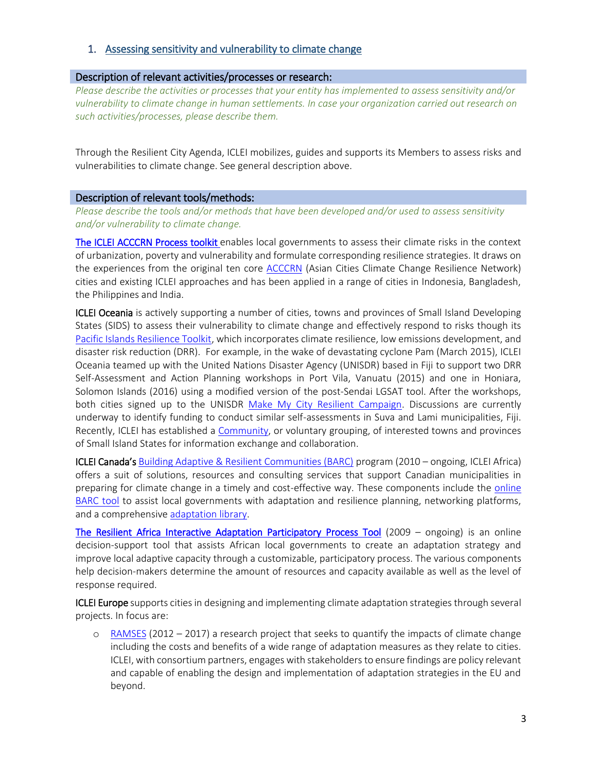# 1. Assessing sensitivity and vulnerability to climate change

#### Description of relevant activities/processes or research:

*Please describe the activities or processes that your entity has implemented to assess sensitivity and/or vulnerability to climate change in human settlements. In case your organization carried out research on such activities/processes, please describe them.*

Through the Resilient City Agenda, ICLEI mobilizes, guides and supports its Members to assess risks and vulnerabilities to climate change. See general description above.

#### Description of relevant tools/methods:

*Please describe the tools and/or methods that have been developed and/or used to assess sensitivity and/or vulnerability to climate change.* 

[The ICLEI ACCCRN Process toolkit e](https://www.acccrn.net/resources/iclei-acccrn-process)nables local governments to assess their climate risks in the context of urbanization, poverty and vulnerability and formulate corresponding resilience strategies. It draws on the experiences from the original ten core **ACCCRN** (Asian Cities Climate Change Resilience Network) cities and existing ICLEI approaches and has been applied in a range of cities in Indonesia, Bangladesh, the Philippines and India.

**ICLEI Oceania** is actively supporting a number of cities, towns and provinces of Small Island Developing States (SIDS) to assess their vulnerability to climate change and effectively respond to risks though its [Pacific Islands Resilience Toolkit,](https://pacific.oceania.iclei.org/) which incorporates climate resilience, low emissions development, and disaster risk reduction (DRR). For example, in the wake of devastating cyclone Pam (March 2015), ICLEI Oceania teamed up with the United Nations Disaster Agency (UNISDR) based in Fiji to support two DRR Self-Assessment and Action Planning workshops in Port Vila, Vanuatu (2015) and one in Honiara, Solomon Islands (2016) using a modified version of the post-Sendai LGSAT tool. After the workshops, both cities signed up to the UNISDR [Make My City Resilient Campaign.](http://www.unisdr.org/campaign/resilientcities/) Discussions are currently underway to identify funding to conduct similar self-assessments in Suva and Lami municipalities, Fiji. Recently, ICLEI has established a [Community,](http://www.iclei.org/activities/agendas/resilient-city/community-for-towns-cities-and-provinces-of-small-islands-developing-states.html) or voluntary grouping, of interested towns and provinces of Small Island States for information exchange and collaboration.

ICLEI Canada's [Building Adaptive & Resilient Communities \(BARC\)](http://www.icleicanada.org/programs/adaptation/barc) program (2010 – ongoing, ICLEI Africa) offers a suit of solutions, resources and consulting services that support Canadian municipalities in preparing for climate change in a timely and cost-effective way. These components include the [online](http://www.icleicanada.org/resources/item/2-adaptation-tool)  [BARC tool](http://www.icleicanada.org/resources/item/2-adaptation-tool) to assist local governments with adaptation and resilience planning, networking platforms, and a comprehensiv[e adaptation library.](http://www.adaptationlibrary.com/#/options/)

[The Resilient Africa Interactive Adaptation Participatory Process Tool](http://www.resilientafrica.org/page.php?ID=100) (2009 – ongoing) is an online decision-support tool that assists African local governments to create an adaptation strategy and improve local adaptive capacity through a customizable, participatory process. The various components help decision-makers determine the amount of resources and capacity available as well as the level of response required.

**ICLEI Europe** supports cities in designing and implementing climate adaptation strategies through several projects. In focus are:

o [RAMSES](http://www.ramses-cities.eu/home/) (2012 – 2017) a research project that seeks to quantify the impacts of climate change including the costs and benefits of a wide range of adaptation measures as they relate to cities. ICLEI, with consortium partners, engages with stakeholders to ensure findings are policy relevant and capable of enabling the design and implementation of adaptation strategies in the EU and beyond.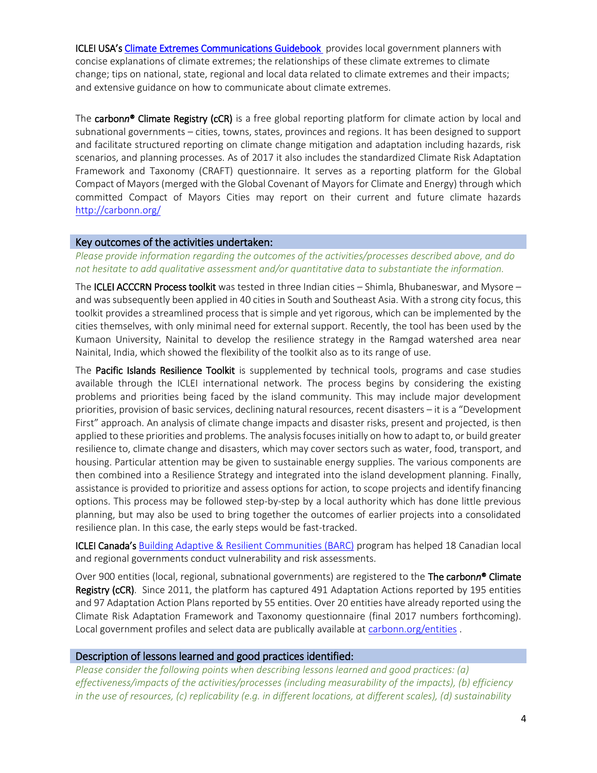ICLEI USA's [Climate Extremes Communications Guidebook](http://icleiusa.org/wp-content/uploads/2015/06/ExtremeWeatherGuidebook-0109.pdf) provides local government planners with concise explanations of climate extremes; the relationships of these climate extremes to climate change; tips on national, state, regional and local data related to climate extremes and their impacts; and extensive guidance on how to communicate about climate extremes.

The carbon*n*® Climate Registry (cCR) is a free global reporting platform for climate action by local and subnational governments – cities, towns, states, provinces and regions. It has been designed to support and facilitate structured reporting on climate change mitigation and adaptation including hazards, risk scenarios, and planning processes. As of 2017 it also includes the standardized Climate Risk Adaptation Framework and Taxonomy (CRAFT) questionnaire. It serves as a reporting platform for the Global Compact of Mayors (merged with the Global Covenant of Mayors for Climate and Energy) through which committed Compact of Mayors Cities may report on their current and future climate hazards <http://carbonn.org/>

#### Key outcomes of the activities undertaken:

*Please provide information regarding the outcomes of the activities/processes described above, and do not hesitate to add qualitative assessment and/or quantitative data to substantiate the information.*

The ICLEI ACCCRN Process toolkit was tested in three Indian cities – Shimla, Bhubaneswar, and Mysore – and was subsequently been applied in 40 cities in South and Southeast Asia. With a strong city focus, this toolkit provides a streamlined process that is simple and yet rigorous, which can be implemented by the cities themselves, with only minimal need for external support. Recently, the tool has been used by the Kumaon University, Nainital to develop the resilience strategy in the Ramgad watershed area near Nainital, India, which showed the flexibility of the toolkit also as to its range of use.

The Pacific Islands Resilience Toolkit is supplemented by technical tools, programs and case studies available through the ICLEI international network. The process begins by considering the existing problems and priorities being faced by the island community. This may include major development priorities, provision of basic services, declining natural resources, recent disasters – it is a "Development First" approach. An analysis of climate change impacts and disaster risks, present and projected, is then applied to these priorities and problems. The analysis focuses initially on how to adapt to, or build greater resilience to, climate change and disasters, which may cover sectors such as water, food, transport, and housing. Particular attention may be given to sustainable energy supplies. The various components are then combined into a Resilience Strategy and integrated into the island development planning. Finally, assistance is provided to prioritize and assess options for action, to scope projects and identify financing options. This process may be followed step-by-step by a local authority which has done little previous planning, but may also be used to bring together the outcomes of earlier projects into a consolidated resilience plan. In this case, the early steps would be fast-tracked.

ICLEI Canada's [Building Adaptive & Resilient Communities \(BARC\)](http://www.icleicanada.org/programs/adaptation/barc) program has helped 18 Canadian local and regional governments conduct vulnerability and risk assessments.

Over 900 entities (local, regional, subnational governments) are registered to the The carbon*n*® Climate Registry (cCR). Since 2011, the platform has captured 491 Adaptation Actions reported by 195 entities and 97 Adaptation Action Plans reported by 55 entities. Over 20 entities have already reported using the Climate Risk Adaptation Framework and Taxonomy questionnaire (final 2017 numbers forthcoming). Local government profiles and select data are publically available at [carbonn.org/entities](http://carbonn.org/entities).

#### Description of lessons learned and good practices identified:

*Please consider the following points when describing lessons learned and good practices: (a) effectiveness/impacts of the activities/processes (including measurability of the impacts), (b) efficiency in the use of resources, (c) replicability (e.g. in different locations, at different scales), (d) sustainability*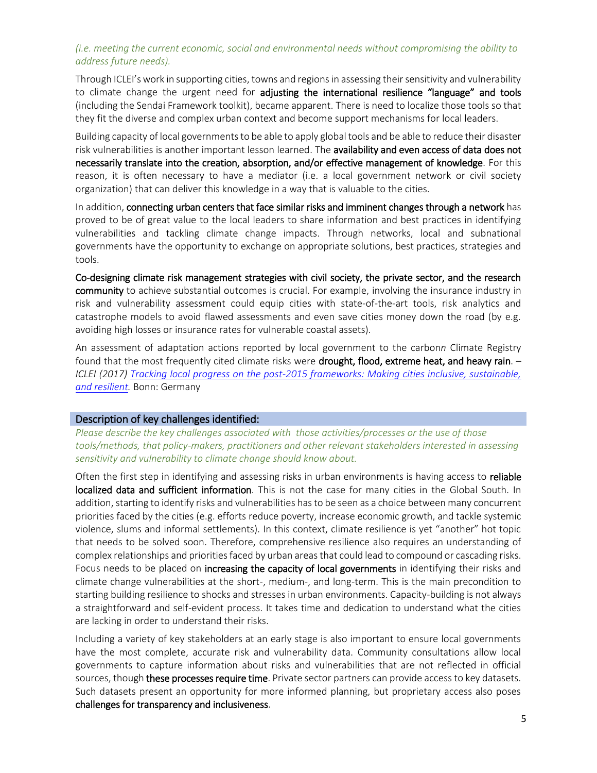#### *(i.e. meeting the current economic, social and environmental needs without compromising the ability to address future needs).*

Through ICLEI's work in supporting cities, towns and regions in assessing their sensitivity and vulnerability to climate change the urgent need for **adjusting the international resilience "language" and tools** (including the Sendai Framework toolkit), became apparent. There is need to localize those tools so that they fit the diverse and complex urban context and become support mechanisms for local leaders.

Building capacity of local governments to be able to apply global tools and be able to reduce their disaster risk vulnerabilities is another important lesson learned. The availability and even access of data does not necessarily translate into the creation, absorption, and/or effective management of knowledge. For this reason, it is often necessary to have a mediator (i.e. a local government network or civil society organization) that can deliver this knowledge in a way that is valuable to the cities.

In addition, connecting urban centers that face similar risks and imminent changes through a network has proved to be of great value to the local leaders to share information and best practices in identifying vulnerabilities and tackling climate change impacts. Through networks, local and subnational governments have the opportunity to exchange on appropriate solutions, best practices, strategies and tools.

Co-designing climate risk management strategies with civil society, the private sector, and the research community to achieve substantial outcomes is crucial. For example, involving the insurance industry in risk and vulnerability assessment could equip cities with state-of-the-art tools, risk analytics and catastrophe models to avoid flawed assessments and even save cities money down the road (by e.g. avoiding high losses or insurance rates for vulnerable coastal assets).

An assessment of adaptation actions reported by local government to the carbon*n* Climate Registry found that the most frequently cited climate risks were drought, flood, extreme heat, and heavy rain. -*ICLEI (2017) [Tracking local progress on the post-2015 frameworks: Making cities inclusive, sustainable,](http://www.iclei.org/fileadmin/PUBLICATIONS/Agendas/ResilientCity/BaselineReport_First_Assessment_May2017.pdf)  [and resilient.](http://www.iclei.org/fileadmin/PUBLICATIONS/Agendas/ResilientCity/BaselineReport_First_Assessment_May2017.pdf)* Bonn: Germany

#### Description of key challenges identified:

*Please describe the key challenges associated with those activities/processes or the use of those tools/methods, that policy-makers, practitioners and other relevant stakeholders interested in assessing sensitivity and vulnerability to climate change should know about.* 

Often the first step in identifying and assessing risks in urban environments is having access to reliable localized data and sufficient information. This is not the case for many cities in the Global South. In addition, starting to identify risks and vulnerabilities has to be seen as a choice between many concurrent priorities faced by the cities (e.g. efforts reduce poverty, increase economic growth, and tackle systemic violence, slums and informal settlements). In this context, climate resilience is yet "another" hot topic that needs to be solved soon. Therefore, comprehensive resilience also requires an understanding of complex relationships and priorities faced by urban areasthat could lead to compound or cascading risks. Focus needs to be placed on **increasing the capacity of local governments** in identifying their risks and climate change vulnerabilities at the short-, medium-, and long-term. This is the main precondition to starting building resilience to shocks and stresses in urban environments. Capacity-building is not always a straightforward and self-evident process. It takes time and dedication to understand what the cities are lacking in order to understand their risks.

Including a variety of key stakeholders at an early stage is also important to ensure local governments have the most complete, accurate risk and vulnerability data. Community consultations allow local governments to capture information about risks and vulnerabilities that are not reflected in official sources, though these processes require time. Private sector partners can provide access to key datasets. Such datasets present an opportunity for more informed planning, but proprietary access also poses challenges for transparency and inclusiveness.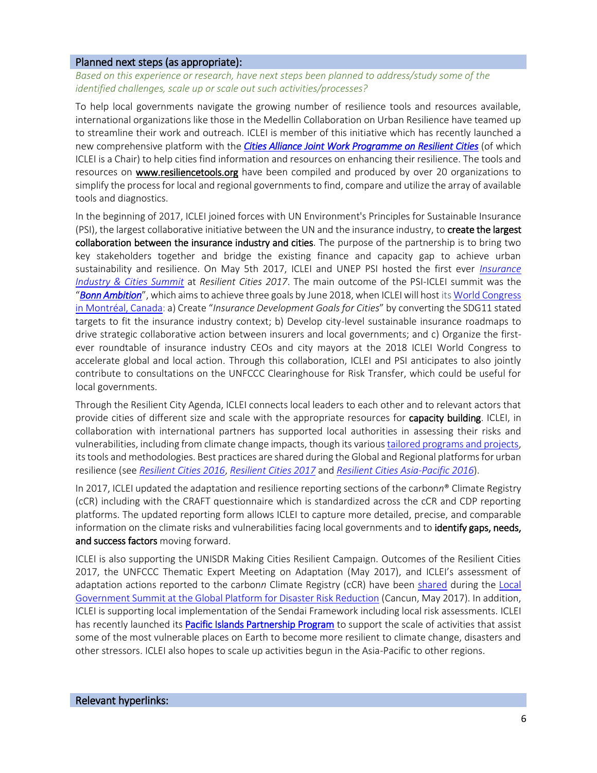#### Planned next steps (as appropriate):

*Based on this experience or research, have next steps been planned to address/study some of the identified challenges, scale up or scale out such activities/processes?*

To help local governments navigate the growing number of resilience tools and resources available, international organizations like those in the Medellin Collaboration on Urban Resilience have teamed up to streamline their work and outreach. ICLEI is member of this initiative which has recently launched a new comprehensive platform with the *[Cities Alliance Joint Work Programme on Resilient Cities](http://www.citiesalliance.org/JWP-ResilientCities)* (of which ICLEI is a Chair) to help cities find information and resources on enhancing their resilience. The tools and resources on [www.resiliencetools.org](http://www.resiliencetools.org/) have been compiled and produced by over 20 organizations to simplify the process for local and regional governments to find, compare and utilize the array of available tools and diagnostics.

In the beginning of 2017, ICLEI joined forces with UN Environment's Principles for Sustainable Insurance (PSI), the largest collaborative initiative between the UN and the insurance industry, to create the largest collaboration between the insurance industry and cities. The purpose of the partnership is to bring two key stakeholders together and bridge the existing finance and capacity gap to achieve urban sustainability and resilience. On May 5th 2017, ICLEI and UNEP PSI hosted the first ever *[Insurance](http://resilientcities2017.iclei.org/program/insurance-industry-and-cities-summit/)  [Industry & Cities Summit](http://resilientcities2017.iclei.org/program/insurance-industry-and-cities-summit/)* at *Resilient Cities 2017*. The main outcome of the PSI-ICLEI summit was the "*[Bonn Ambition](http://www.iclei.org/details/article/united-nations-backed-insurance-industry-initiative-and-network-of-local-governments-to-create-in-1.html)*", which aims to achieve three goals by June 2018, when ICLEI will host it[s World Congress](http://www.iclei.org/activities/events/worldcongress2018.html)  [in Montréal, Canada:](http://www.iclei.org/activities/events/worldcongress2018.html) a) Create "*Insurance Development Goals for Cities*" by converting the SDG11 stated targets to fit the insurance industry context; b) Develop city-level sustainable insurance roadmaps to drive strategic collaborative action between insurers and local governments; and c) Organize the firstever roundtable of insurance industry CEOs and city mayors at the 2018 ICLEI World Congress to accelerate global and local action. Through this collaboration, ICLEI and PSI anticipates to also jointly contribute to consultations on the UNFCCC Clearinghouse for Risk Transfer, which could be useful for local governments.

Through the Resilient City Agenda, ICLEI connects local leaders to each other and to relevant actors that provide cities of different size and scale with the appropriate resources for capacity building. ICLEI, in collaboration with international partners has supported local authorities in assessing their risks and vulnerabilities, including from climate change impacts, though its variou[stailored programs and projects,](http://www.iclei.org/activities/agendas/resilient-city.html) its tools and methodologies. Best practices are shared during the Global and Regional platforms for urban resilience (see *[Resilient Cities 2016](http://resilientcities2016.iclei.org/)*, *[Resilient Cities 2017](http://resilientcities2017.iclei.org/)* and *[Resilient Cities Asia-Pacific 2016](http://resilientcitiesasiapacific.iclei.org/)*).

In 2017, ICLEI updated the adaptation and resilience reporting sections of the carbon*n*® Climate Registry (cCR) including with the CRAFT questionnaire which is standardized across the cCR and CDP reporting platforms. The updated reporting form allows ICLEI to capture more detailed, precise, and comparable information on the climate risks and vulnerabilities facing local governments and to **identify gaps, needs,** and success factors moving forward.

ICLEI is also supporting the UNISDR Making Cities Resilient Campaign. Outcomes of the Resilient Cities 2017, the UNFCCC Thematic Expert Meeting on Adaptation (May 2017), and ICLEI's assessment of adaptation actions reported to the carbonn Climate Registry (cCR) have been [shared](http://www.iclei.org/fileadmin/PUBLICATIONS/Agendas/ResilientCity/Coherence_toward_2030_LGS_GPDRR__ICLEI_UCLG_2017.pdf) during the Local [Government Summit at the Global Platform for Disaster Risk Reduction](http://www.unisdr.org/conferences/2017/globalplatform/en/programme/preparatory-days/view/835) (Cancun, May 2017). In addition, ICLEI is supporting local implementation of the Sendai Framework including local risk assessments. ICLEI has recently launched its [Pacific Islands Partnership Program](https://pacific.oceania.iclei.org/) to support the scale of activities that assist some of the most vulnerable places on Earth to become more resilient to climate change, disasters and other stressors. ICLEI also hopes to scale up activities begun in the Asia-Pacific to other regions.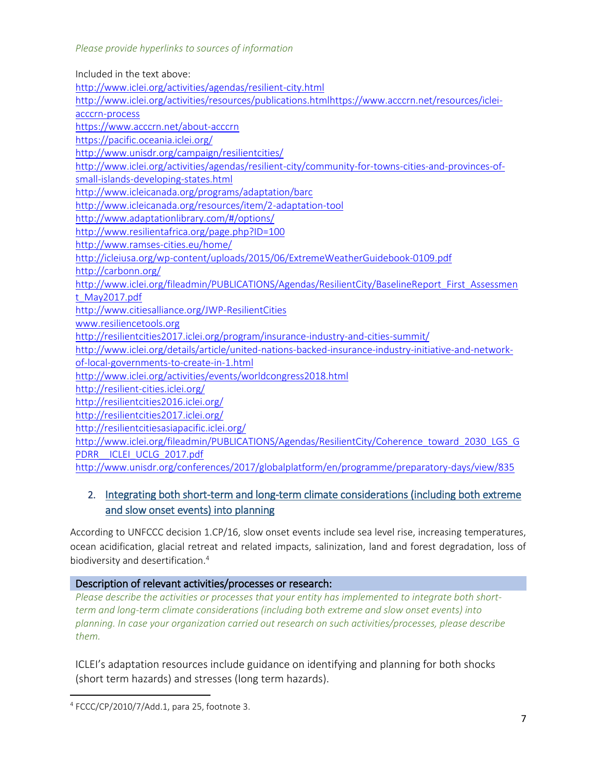| Included in the text above:                                                                           |
|-------------------------------------------------------------------------------------------------------|
| http://www.iclei.org/activities/agendas/resilient-city.html                                           |
| http://www.iclei.org/activities/resources/publications.htmlhttps://www.acccrn.net/resources/iclei-    |
| acccrn-process                                                                                        |
| https://www.acccrn.net/about-acccrn                                                                   |
| https://pacific.oceania.iclei.org/                                                                    |
| http://www.unisdr.org/campaign/resilientcities/                                                       |
| http://www.iclei.org/activities/agendas/resilient-city/community-for-towns-cities-and-provinces-of-   |
| small-islands-developing-states.html                                                                  |
| http://www.icleicanada.org/programs/adaptation/barc                                                   |
| http://www.icleicanada.org/resources/item/2-adaptation-tool                                           |
| http://www.adaptationlibrary.com/#/options/                                                           |
| http://www.resilientafrica.org/page.php?ID=100                                                        |
| http://www.ramses-cities.eu/home/                                                                     |
| http://icleiusa.org/wp-content/uploads/2015/06/ExtremeWeatherGuidebook-0109.pdf                       |
| http://carbonn.org/                                                                                   |
| http://www.iclei.org/fileadmin/PUBLICATIONS/Agendas/ResilientCity/BaselineReport First Assessmen      |
| t May2017.pdf                                                                                         |
| http://www.citiesalliance.org/JWP-ResilientCities                                                     |
| www.resiliencetools.org                                                                               |
| http://resilientcities2017.iclei.org/program/insurance-industry-and-cities-summit/                    |
| http://www.iclei.org/details/article/united-nations-backed-insurance-industry-initiative-and-network- |
| of-local-governments-to-create-in-1.html                                                              |
| http://www.iclei.org/activities/events/worldcongress2018.html                                         |
| http://resilient-cities.iclei.org/                                                                    |
| http://resilientcities2016.iclei.org/                                                                 |
| http://resilientcities2017.iclei.org/                                                                 |
| http://resilientcitiesasiapacific.iclei.org/                                                          |
| http://www.iclei.org/fileadmin/PUBLICATIONS/Agendas/ResilientCity/Coherence toward 2030 LGS G         |
| ICLEI UCLG 2017.pdf<br><b>PDRR</b>                                                                    |
| http://www.unisdr.org/conferences/2017/globalplatform/en/programme/preparatory-days/view/835          |

# 2. Integrating both short-term and long-term climate considerations (including both extreme and slow onset events) into planning

According to UNFCCC decision 1.CP/16, slow onset events include sea level rise, increasing temperatures, ocean acidification, glacial retreat and related impacts, salinization, land and forest degradation, loss of biodiversity and desertification.<sup>4</sup>

# Description of relevant activities/processes or research:

*Please describe the activities or processes that your entity has implemented to integrate both shortterm and long-term climate considerations (including both extreme and slow onset events) into planning. In case your organization carried out research on such activities/processes, please describe them.*

ICLEI's adaptation resources include guidance on identifying and planning for both shocks (short term hazards) and stresses (long term hazards).

 $\overline{\phantom{a}}$ 4 FCCC/CP/2010/7/Add.1, para 25, footnote 3.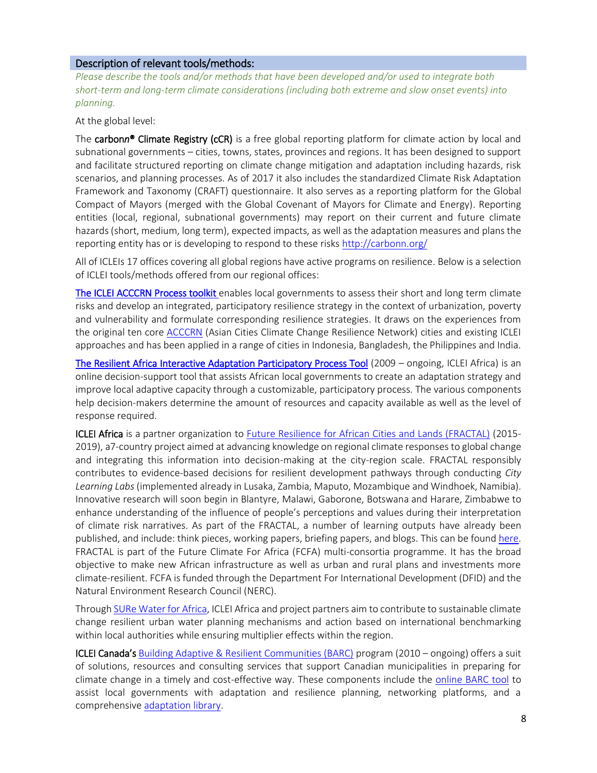#### Description of relevant tools/methods:

*Please describe the tools and/or methods that have been developed and/or used to integrate both short-term and long-term climate considerations (including both extreme and slow onset events) into planning.*

At the global level:

The carbon*n*® Climate Registry (cCR) is a free global reporting platform for climate action by local and subnational governments – cities, towns, states, provinces and regions. It has been designed to support and facilitate structured reporting on climate change mitigation and adaptation including hazards, risk scenarios, and planning processes. As of 2017 it also includes the standardized Climate Risk Adaptation Framework and Taxonomy (CRAFT) questionnaire. It also serves as a reporting platform for the Global Compact of Mayors (merged with the Global Covenant of Mayors for Climate and Energy). Reporting entities (local, regional, subnational governments) may report on their current and future climate hazards (short, medium, long term), expected impacts, as well as the adaptation measures and plans the reporting entity has or is developing to respond to these risks<http://carbonn.org/>

All of ICLEIs 17 offices covering all global regions have active programs on resilience. Below is a selection of ICLEI tools/methods offered from our regional offices:

[The ICLEI ACCCRN Process toolkit e](https://www.acccrn.net/resources/iclei-acccrn-process)nables local governments to assess their short and long term climate risks and develop an integrated, participatory resilience strategy in the context of urbanization, poverty and vulnerability and formulate corresponding resilience strategies. It draws on the experiences from the original ten core [ACCCRN](https://www.acccrn.net/about-acccrn) (Asian Cities Climate Change Resilience Network) cities and existing ICLEI approaches and has been applied in a range of cities in Indonesia, Bangladesh, the Philippines and India.

[The Resilient Africa Interactive Adaptation Participatory Process Tool](http://www.resilientafrica.org/page.php?ID=100) (2009 – ongoing, ICLEI Africa) is an online decision-support tool that assists African local governments to create an adaptation strategy and improve local adaptive capacity through a customizable, participatory process. The various components help decision-makers determine the amount of resources and capacity available as well as the level of response required.

ICLEI Africa is a partner organization to [Future Resilience for African Cities and Lands \(FRACTAL\)](http://www.fractal.org.za/) (2015-2019), a7-country project aimed at advancing knowledge on regional climate responses to global change and integrating this information into decision-making at the city-region scale. FRACTAL responsibly contributes to evidence-based decisions for resilient development pathways through conducting *City Learning Labs* (implemented already in Lusaka, Zambia, Maputo, Mozambique and Windhoek, Namibia). Innovative research will soon begin in Blantyre, Malawi, Gaborone, Botswana and Harare, Zimbabwe to enhance understanding of the influence of people's perceptions and values during their interpretation of climate risk narratives. As part of the FRACTAL, a number of learning outputs have already been published, and include: think pieces, working papers, briefing papers, and blogs. This can be foun[d here.](http://www.fractal.org.za/) FRACTAL is part of the Future Climate For Africa (FCFA) multi-consortia programme. It has the broad objective to make new African infrastructure as well as urban and rural plans and investments more climate-resilient. FCFA is funded through the Department For International Development (DFID) and the Natural Environment Research Council (NERC).

Throug[h SURe Water for Africa,](http://www.awasla.org/surewater-home) ICLEI Africa and project partners aim to contribute to sustainable climate change resilient urban water planning mechanisms and action based on international benchmarking within local authorities while ensuring multiplier effects within the region.

ICLEI Canada's [Building Adaptive & Resilient Communities \(BARC\)](http://www.icleicanada.org/programs/adaptation/barc) program (2010 – ongoing) offers a suit of solutions, resources and consulting services that support Canadian municipalities in preparing for climate change in a timely and cost-effective way. These components include the [online BARC tool](http://www.icleicanada.org/resources/item/2-adaptation-tool) to assist local governments with adaptation and resilience planning, networking platforms, and a comprehensive [adaptation](http://www.adaptationlibrary.com/#/options/) library.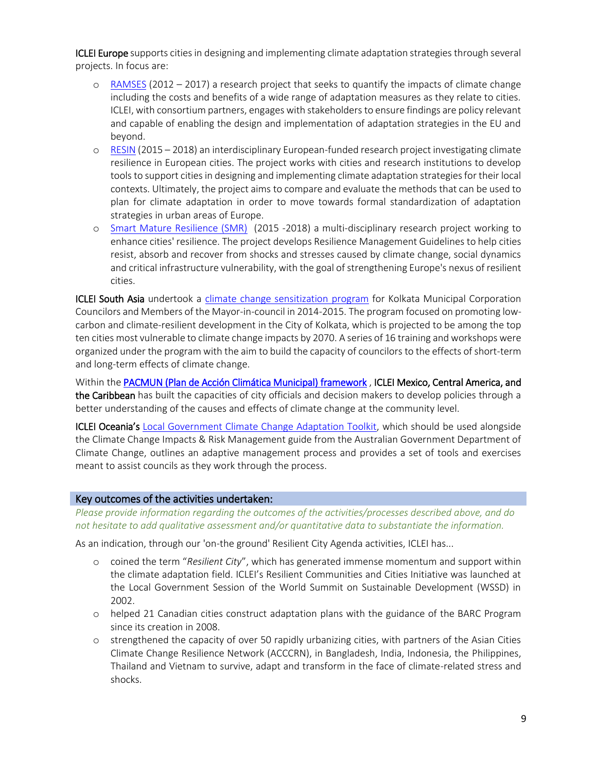**ICLEI Europe** supports cities in designing and implementing climate adaptation strategies through several projects. In focus are:

- o [RAMSES](http://www.ramses-cities.eu/home/) (2012 2017) a research project that seeks to quantify the impacts of climate change including the costs and benefits of a wide range of adaptation measures as they relate to cities. ICLEI, with consortium partners, engages with stakeholders to ensure findings are policy relevant and capable of enabling the design and implementation of adaptation strategies in the EU and beyond.
- o [RESIN](http://www.resin-cities.eu/home/) (2015 2018) an interdisciplinary European-funded research project investigating climate resilience in European cities. The project works with cities and research institutions to develop tools to support cities in designing and implementing climate adaptation strategies for their local contexts. Ultimately, the project aims to compare and evaluate the methods that can be used to plan for climate adaptation in order to move towards formal standardization of adaptation strategies in urban areas of Europe.
- o [Smart Mature Resilience \(SMR\)](http://smr-project.eu/home/) (2015 -2018) a multi-disciplinary research project working to enhance cities' resilience. The project develops Resilience Management Guidelines to help cities resist, absorb and recover from shocks and stresses caused by climate change, social dynamics and critical infrastructure vulnerability, with the goal of strengthening Europe's nexus of resilient cities.

**ICLEI South Asia** undertook a [climate change sensitization program](http://southasia.iclei.org/our-activities/our-agendas/resilient-city/sensitisation-programme-for-kolkata-municipal-corporation-councilors-and-members-of-mayor-in-council-on-climate-change.html) for Kolkata Municipal Corporation Councilors and Members of the Mayor-in-council in 2014-2015. The program focused on promoting lowcarbon and climate-resilient development in the City of Kolkata, which is projected to be among the top ten cities most vulnerable to climate change impacts by 2070. A series of 16 training and workshops were organized under the program with the aim to build the capacity of councilors to the effects of short-term and long-term effects of climate change.

Within th[e PACMUN \(Plan de Acción Climática Municipal\) framework](http://iclei.org.mx/web/index.php/seccion/PACMUN) , ICLEI Mexico, Central America, and the Caribbean has built the capacities of city officials and decision makers to develop policies through a better understanding of the causes and effects of climate change at the community level.

**ICLEI Oceania's [Local Government Climate Change Adaptation Toolkit,](http://archive.iclei.org/index.php?id=adaptation-toolkit0) which should be used alongside** the Climate Change Impacts & Risk Management guide from the Australian Government Department of Climate Change, outlines an adaptive management process and provides a set of tools and exercises meant to assist councils as they work through the process.

# Key outcomes of the activities undertaken:

*Please provide information regarding the outcomes of the activities/processes described above, and do not hesitate to add qualitative assessment and/or quantitative data to substantiate the information.*

As an indication, through our 'on-the ground' Resilient City Agenda activities, ICLEI has...

- o coined the term "*Resilient City*", which has generated immense momentum and support within the climate adaptation field. ICLEI's Resilient Communities and Cities Initiative was launched at the Local Government Session of the World Summit on Sustainable Development (WSSD) in 2002.
- o helped 21 Canadian cities construct adaptation plans with the guidance of the BARC Program since its creation in 2008.
- o strengthened the capacity of over 50 rapidly urbanizing cities, with partners of the Asian Cities Climate Change Resilience Network (ACCCRN), in Bangladesh, India, Indonesia, the Philippines, Thailand and Vietnam to survive, adapt and transform in the face of climate-related stress and shocks.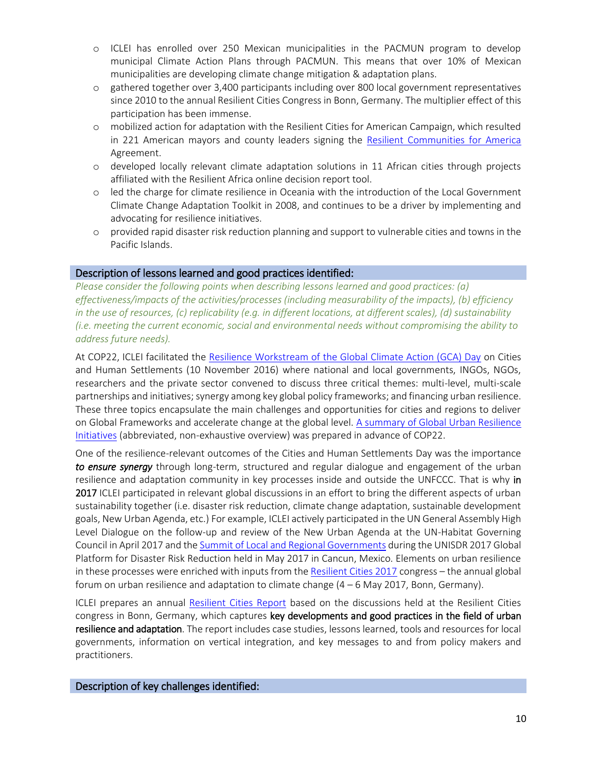- o ICLEI has enrolled over 250 Mexican municipalities in the PACMUN program to develop municipal Climate Action Plans through PACMUN. This means that over 10% of Mexican municipalities are developing climate change mitigation & adaptation plans.
- o gathered together over 3,400 participants including over 800 local government representatives since 2010 to the annual Resilient Cities Congress in Bonn, Germany. The multiplier effect of this participation has been immense.
- o mobilized action for adaptation with the Resilient Cities for American Campaign, which resulted in 221 American mayors and county leaders signing the [Resilient Communities for America](http://icleiusa.org/programs/leadership-campaigns/rc4a/) Agreement.
- o developed locally relevant climate adaptation solutions in 11 African cities through projects affiliated with the Resilient Africa online decision report tool.
- o led the charge for climate resilience in Oceania with the introduction of the Local Government Climate Change Adaptation Toolkit in 2008, and continues to be a driver by implementing and advocating for resilience initiatives.
- o provided rapid disaster risk reduction planning and support to vulnerable cities and towns in the Pacific Islands.

#### Description of lessons learned and good practices identified:

*Please consider the following points when describing lessons learned and good practices: (a) effectiveness/impacts of the activities/processes (including measurability of the impacts), (b) efficiency*  in the use of resources, (c) replicability (e.g. in different locations, at different scales), (d) sustainability *(i.e. meeting the current economic, social and environmental needs without compromising the ability to address future needs).*

At COP22, ICLEI facilitated the [Resilience Workstream of the Global Climate Action \(GCA\) Day](http://www.iclei.org/activities/cop22/marrakech-partnership.html) on Cities and Human Settlements (10 November 2016) where national and local governments, INGOs, NGOs, researchers and the private sector convened to discuss three critical themes: multi-level, multi-scale partnerships and initiatives; synergy among key global policy frameworks; and financing urban resilience. These three topics encapsulate the main challenges and opportunities for cities and regions to deliver on Global Frameworks and accelerate change at the global level. A summary of Global Urban Resilience [Initiatives](http://www.iclei.org/fileadmin/PUBLICATIONS/Agendas/ResilientCity/2016_ICLEI_BriefingSheet_UrbanResilienceInitiatives.pdf) (abbreviated, non-exhaustive overview) was prepared in advance of COP22.

One of the resilience-relevant outcomes of the Cities and Human Settlements Day was the importance *to ensure synergy* through long-term, structured and regular dialogue and engagement of the urban resilience and adaptation community in key processes inside and outside the UNFCCC. That is why in 2017 ICLEI participated in relevant global discussions in an effort to bring the different aspects of urban sustainability together (i.e. disaster risk reduction, climate change adaptation, sustainable development goals, New Urban Agenda, etc.) For example, ICLEI actively participated in the UN General Assembly High Level Dialogue on the follow-up and review of the New Urban Agenda at the UN-Habitat Governing Council in April 2017 and the [Summit of Local and Regional Governments](http://www.unisdr.org/conferences/2017/globalplatform/en/programme/preparatory-days/view/835) during the UNISDR 2017 Global Platform for Disaster Risk Reduction held in May 2017 in Cancun, Mexico. Elements on urban resilience in these processes were enriched with inputs from th[e Resilient Cities 2017](http://resilientcities2017.iclei.org/) congress – the annual global forum on urban resilience and adaptation to climate change (4 – 6 May 2017, Bonn, Germany).

ICLEI prepares an annual [Resilient Cities Report](http://resilient-cities.iclei.org/resilient-cities-hub-site/congress-publications/) based on the discussions held at the Resilient Cities congress in Bonn, Germany, which captures key developments and good practices in the field of urban resilience and adaptation. The report includes case studies, lessons learned, tools and resources for local governments, information on vertical integration, and key messages to and from policy makers and practitioners.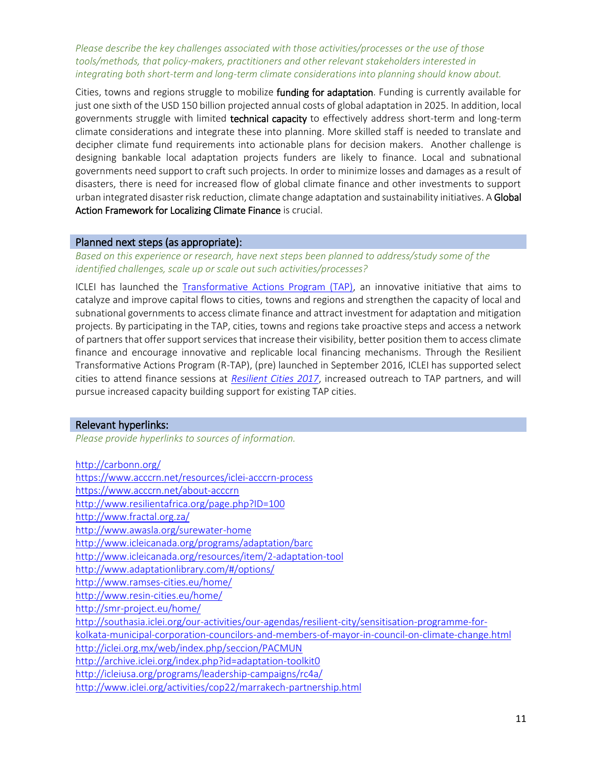*Please describe the key challenges associated with those activities/processes or the use of those tools/methods, that policy-makers, practitioners and other relevant stakeholders interested in integrating both short-term and long-term climate considerations into planning should know about.* 

Cities, towns and regions struggle to mobilize funding for adaptation. Funding is currently available for just one sixth of the USD 150 billion projected annual costs of global adaptation in 2025. In addition, local governments struggle with limited technical capacity to effectively address short-term and long-term climate considerations and integrate these into planning. More skilled staff is needed to translate and decipher climate fund requirements into actionable plans for decision makers. Another challenge is designing bankable local adaptation projects funders are likely to finance. Local and subnational governments need support to craft such projects. In order to minimize losses and damages as a result of disasters, there is need for increased flow of global climate finance and other investments to support urban integrated disaster risk reduction, climate change adaptation and sustainability initiatives. A Global Action Framework for Localizing Climate Finance is crucial.

# Planned next steps (as appropriate):

*Based on this experience or research, have next steps been planned to address/study some of the identified challenges, scale up or scale out such activities/processes?* 

ICLEI has launched the [Transformative Actions Program \(TAP\),](http://tap-potential.org/) an innovative initiative that aims to catalyze and improve capital flows to cities, towns and regions and strengthen the capacity of local and subnational governments to access climate finance and attract investment for adaptation and mitigation projects. By participating in the TAP, cities, towns and regions take proactive steps and access a network of partnersthat offer support services that increase their visibility, better position them to access climate finance and encourage innovative and replicable local financing mechanisms. Through the Resilient Transformative Actions Program (R-TAP), (pre) launched in September 2016, ICLEI has supported select cities to attend finance sessions at *[Resilient Cities 2017](http://resilientcities2017.iclei.org/)*, increased outreach to TAP partners, and will pursue increased capacity building support for existing TAP cities.

#### Relevant hyperlinks:

*Please provide hyperlinks to sources of information.*

| http://carbonn.org/                                                                               |
|---------------------------------------------------------------------------------------------------|
| https://www.acccrn.net/resources/iclei-acccrn-process                                             |
| https://www.acccrn.net/about-acccrn                                                               |
| http://www.resilientafrica.org/page.php?ID=100                                                    |
| http://www.fractal.org.za/                                                                        |
| http://www.awasla.org/surewater-home                                                              |
| http://www.icleicanada.org/programs/adaptation/barc                                               |
| http://www.icleicanada.org/resources/item/2-adaptation-tool                                       |
| http://www.adaptationlibrary.com/#/options/                                                       |
| http://www.ramses-cities.eu/home/                                                                 |
| http://www.resin-cities.eu/home/                                                                  |
| http://smr-project.eu/home/                                                                       |
| http://southasia.iclei.org/our-activities/our-agendas/resilient-city/sensitisation-programme-for- |
| kolkata-municipal-corporation-councilors-and-members-of-mayor-in-council-on-climate-change.html   |
| http://iclei.org.mx/web/index.php/seccion/PACMUN                                                  |
| http://archive.iclei.org/index.php?id=adaptation-toolkit0                                         |
| http://icleiusa.org/programs/leadership-campaigns/rc4a/                                           |
| http://www.iclei.org/activities/cop22/marrakech-partnership.html                                  |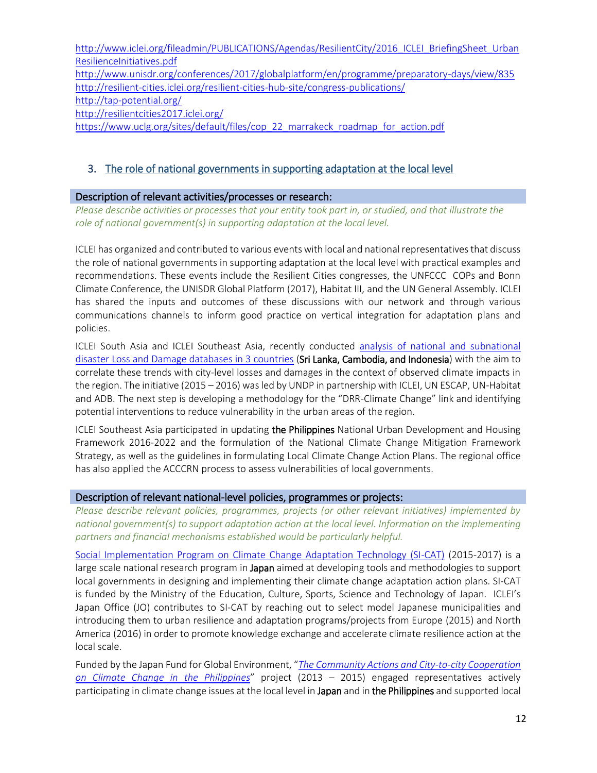http://www.iclei.org/fileadmin/PUBLICATIONS/Agendas/ResilientCity/2016 ICLEI BriefingSheet Urban [ResilienceInitiatives.pdf](http://www.iclei.org/fileadmin/PUBLICATIONS/Agendas/ResilientCity/2016_ICLEI_BriefingSheet_UrbanResilienceInitiatives.pdf) <http://www.unisdr.org/conferences/2017/globalplatform/en/programme/preparatory-days/view/835> <http://resilient-cities.iclei.org/resilient-cities-hub-site/congress-publications/> <http://tap-potential.org/> <http://resilientcities2017.iclei.org/> [https://www.uclg.org/sites/default/files/cop\\_22\\_marrakeck\\_roadmap\\_for\\_action.pdf](https://www.uclg.org/sites/default/files/cop_22_marrakeck_roadmap_for_action.pdf)

# 3. The role of national governments in supporting adaptation at the local level

# Description of relevant activities/processes or research:

*Please describe activities or processes that your entity took part in, or studied, and that illustrate the role of national government(s) in supporting adaptation at the local level.*

ICLEI has organized and contributed to various events with local and national representatives that discuss the role of national governments in supporting adaptation at the local level with practical examples and recommendations. These events include the Resilient Cities congresses, the UNFCCC COPs and Bonn Climate Conference, the UNISDR Global Platform (2017), Habitat III, and the UN General Assembly. ICLEI has shared the inputs and outcomes of these discussions with our network and through various communications channels to inform good practice on vertical integration for adaptation plans and policies.

ICLEI South Asia and ICLEI Southeast Asia, recently conducted [analysis of national and subnational](http://southasia.iclei.org/our-activities/our-agendas/resilient-city/analysis-of-national-and-subnational-disaster-loss-and-damage-databases-establishing-a-linkage-to-climate-change-impacts-to-strengthen-local-urban-resilience-plans.html)  [disaster Loss and Damage databases in 3 countries](http://southasia.iclei.org/our-activities/our-agendas/resilient-city/analysis-of-national-and-subnational-disaster-loss-and-damage-databases-establishing-a-linkage-to-climate-change-impacts-to-strengthen-local-urban-resilience-plans.html) (Sri Lanka, Cambodia, and Indonesia) with the aim to correlate these trends with city-level losses and damages in the context of observed climate impacts in the region. The initiative (2015 – 2016) was led by UNDP in partnership with ICLEI, UN ESCAP, UN-Habitat and ADB. The next step is developing a methodology for the "DRR-Climate Change" link and identifying potential interventions to reduce vulnerability in the urban areas of the region.

ICLEI Southeast Asia participated in updating the Philippines National Urban Development and Housing Framework 2016-2022 and the formulation of the National Climate Change Mitigation Framework Strategy, as well as the guidelines in formulating Local Climate Change Action Plans. The regional office has also applied the ACCCRN process to assess vulnerabilities of local governments.

# Description of relevant national-level policies, programmes or projects:

*Please describe relevant policies, programmes, projects (or other relevant initiatives) implemented by national government(s) to support adaptation action at the local level. Information on the implementing partners and financial mechanisms established would be particularly helpful.* 

[Social Implementation Program on Climate Change Adaptation Technology \(SI-CAT\)](https://si-cat.jp/en/staticpages/index.php/about) (2015-2017) is a large scale national research program in Japan aimed at developing tools and methodologies to support local governments in designing and implementing their climate change adaptation action plans. SI-CAT is funded by the Ministry of the Education, Culture, Sports, Science and Technology of Japan. ICLEI's Japan Office (JO) contributes to SI-CAT by reaching out to select model Japanese municipalities and introducing them to urban resilience and adaptation programs/projects from Europe (2015) and North America (2016) in order to promote knowledge exchange and accelerate climate resilience action at the local scale.

Funded by the Japan Fund for Global Environment, "*[The Community Actions and City-to-city Cooperation](http://japan.iclei.org/en/program/program-b/program-b-2.html)  [on Climate Change in the Philippines](http://japan.iclei.org/en/program/program-b/program-b-2.html)*" project (2013 – 2015) engaged representatives actively participating in climate change issues at the local level in Japan and in the Philippines and supported local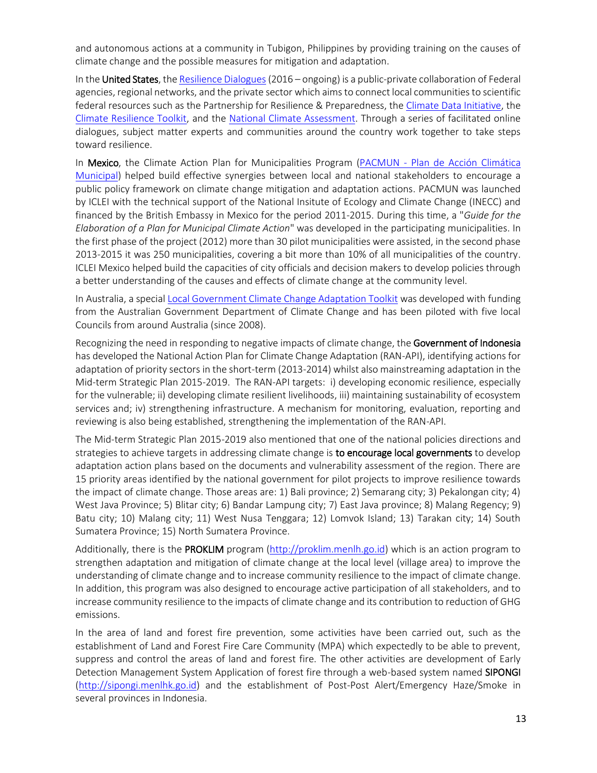and autonomous actions at a community in Tubigon, Philippines by providing training on the causes of climate change and the possible measures for mitigation and adaptation.

In the United States, th[e Resilience Dialogues](http://resiliencedialogues.org/) (2016 – ongoing) is a public-private collaboration of Federal agencies, regional networks, and the private sector which aims to connect local communities to scientific federal resources such as the Partnership for Resilience & Preparedness, th[e Climate Data Initiative,](http://www.prepdata.org/) the [Climate Resilience Toolkit,](https://toolkit.climate.gov/) and the [National Climate Assessment.](http://nca2014.globalchange.gov/) Through a series of facilitated online dialogues, subject matter experts and communities around the country work together to take steps toward resilience.

In Mexico, the Climate Action Plan for Municipalities Program (PACMUN - Plan de Acción Climática [Municipal\)](http://climateinitiativesplatform.org/index.php/PACMUN_project) helped build effective synergies between local and national stakeholders to encourage a public policy framework on climate change mitigation and adaptation actions. PACMUN was launched by ICLEI with the technical support of the National Insitute of Ecology and Climate Change (INECC) and financed by the British Embassy in Mexico for the period 2011-2015. During this time, a "*Guide for the Elaboration of a Plan for Municipal Climate Action*" was developed in the participating municipalities. In the first phase of the project (2012) more than 30 pilot municipalities were assisted, in the second phase 2013-2015 it was 250 municipalities, covering a bit more than 10% of all municipalities of the country. ICLEI Mexico helped build the capacities of city officials and decision makers to develop policies through a better understanding of the causes and effects of climate change at the community level.

In Australia, a special [Local Government Climate Change Adaptation Toolkit](http://archive.iclei.org/index.php?id=adaptation-toolkit0) was developed with funding from the Australian Government Department of Climate Change and has been piloted with five local Councils from around Australia (since 2008).

Recognizing the need in responding to negative impacts of climate change, the Government of Indonesia has developed the National Action Plan for Climate Change Adaptation (RAN-API), identifying actions for adaptation of priority sectors in the short-term (2013-2014) whilst also mainstreaming adaptation in the Mid-term Strategic Plan 2015-2019. The RAN-API targets: i) developing economic resilience, especially for the vulnerable; ii) developing climate resilient livelihoods, iii) maintaining sustainability of ecosystem services and; iv) strengthening infrastructure. A mechanism for monitoring, evaluation, reporting and reviewing is also being established, strengthening the implementation of the RAN-API.

The Mid-term Strategic Plan 2015-2019 also mentioned that one of the national policies directions and strategies to achieve targets in addressing climate change is **to encourage local governments** to develop adaptation action plans based on the documents and vulnerability assessment of the region. There are 15 priority areas identified by the national government for pilot projects to improve resilience towards the impact of climate change. Those areas are: 1) Bali province; 2) Semarang city; 3) Pekalongan city; 4) West Java Province; 5) Blitar city; 6) Bandar Lampung city; 7) East Java province; 8) Malang Regency; 9) Batu city; 10) Malang city; 11) West Nusa Tenggara; 12) Lomvok Island; 13) Tarakan city; 14) South Sumatera Province; 15) North Sumatera Province.

Additionally, there is the PROKLIM program [\(http://proklim.menlh.go.id\)](http://proklim.menlh.go.id/) which is an action program to strengthen adaptation and mitigation of climate change at the local level (village area) to improve the understanding of climate change and to increase community resilience to the impact of climate change. In addition, this program was also designed to encourage active participation of all stakeholders, and to increase community resilience to the impacts of climate change and its contribution to reduction of GHG emissions.

In the area of land and forest fire prevention, some activities have been carried out, such as the establishment of Land and Forest Fire Care Community (MPA) which expectedly to be able to prevent, suppress and control the areas of land and forest fire. The other activities are development of Early Detection Management System Application of forest fire through a web-based system named SIPONGI [\(http://sipongi.menlhk.go.id\)](http://sipongi.menlhk.go.id/) and the establishment of Post-Post Alert/Emergency Haze/Smoke in several provinces in Indonesia.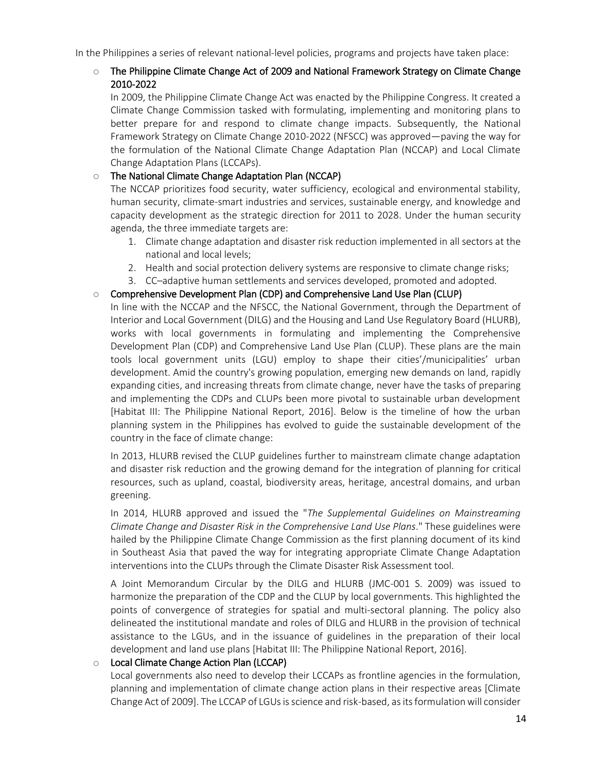In the Philippines a series of relevant national-level policies, programs and projects have taken place:

## $\circ$  The Philippine Climate Change Act of 2009 and National Framework Strategy on Climate Change 2010-2022

In 2009, the Philippine Climate Change Act was enacted by the Philippine Congress. It created a Climate Change Commission tasked with formulating, implementing and monitoring plans to better prepare for and respond to climate change impacts. Subsequently, the National Framework Strategy on Climate Change 2010-2022 (NFSCC) was approved—paving the way for the formulation of the National Climate Change Adaptation Plan (NCCAP) and Local Climate Change Adaptation Plans (LCCAPs).

# o The National Climate Change Adaptation Plan (NCCAP)

The NCCAP prioritizes food security, water sufficiency, ecological and environmental stability, human security, climate-smart industries and services, sustainable energy, and knowledge and capacity development as the strategic direction for 2011 to 2028. Under the human security agenda, the three immediate targets are:

- 1. Climate change adaptation and disaster risk reduction implemented in all sectors at the national and local levels;
- 2. Health and social protection delivery systems are responsive to climate change risks;
- 3. CC–adaptive human settlements and services developed, promoted and adopted.

#### o Comprehensive Development Plan (CDP) and Comprehensive Land Use Plan (CLUP)

In line with the NCCAP and the NFSCC, the National Government, through the Department of Interior and Local Government (DILG) and the Housing and Land Use Regulatory Board (HLURB), works with local governments in formulating and implementing the Comprehensive Development Plan (CDP) and Comprehensive Land Use Plan (CLUP). These plans are the main tools local government units (LGU) employ to shape their cities'/municipalities' urban development. Amid the country's growing population, emerging new demands on land, rapidly expanding cities, and increasing threats from climate change, never have the tasks of preparing and implementing the CDPs and CLUPs been more pivotal to sustainable urban development [Habitat III: The Philippine National Report, 2016]. Below is the timeline of how the urban planning system in the Philippines has evolved to guide the sustainable development of the country in the face of climate change:

In 2013, HLURB revised the CLUP guidelines further to mainstream climate change adaptation and disaster risk reduction and the growing demand for the integration of planning for critical resources, such as upland, coastal, biodiversity areas, heritage, ancestral domains, and urban greening.

In 2014, HLURB approved and issued the "*The Supplemental Guidelines on Mainstreaming Climate Change and Disaster Risk in the Comprehensive Land Use Plans*." These guidelines were hailed by the Philippine Climate Change Commission as the first planning document of its kind in Southeast Asia that paved the way for integrating appropriate Climate Change Adaptation interventions into the CLUPs through the Climate Disaster Risk Assessment tool.

A Joint Memorandum Circular by the DILG and HLURB (JMC-001 S. 2009) was issued to harmonize the preparation of the CDP and the CLUP by local governments. This highlighted the points of convergence of strategies for spatial and multi-sectoral planning. The policy also delineated the institutional mandate and roles of DILG and HLURB in the provision of technical assistance to the LGUs, and in the issuance of guidelines in the preparation of their local development and land use plans [Habitat III: The Philippine National Report, 2016].

#### o Local Climate Change Action Plan (LCCAP)

Local governments also need to develop their LCCAPs as frontline agencies in the formulation, planning and implementation of climate change action plans in their respective areas [Climate Change Act of 2009]. The LCCAP of LGUs is science and risk-based, as its formulation will consider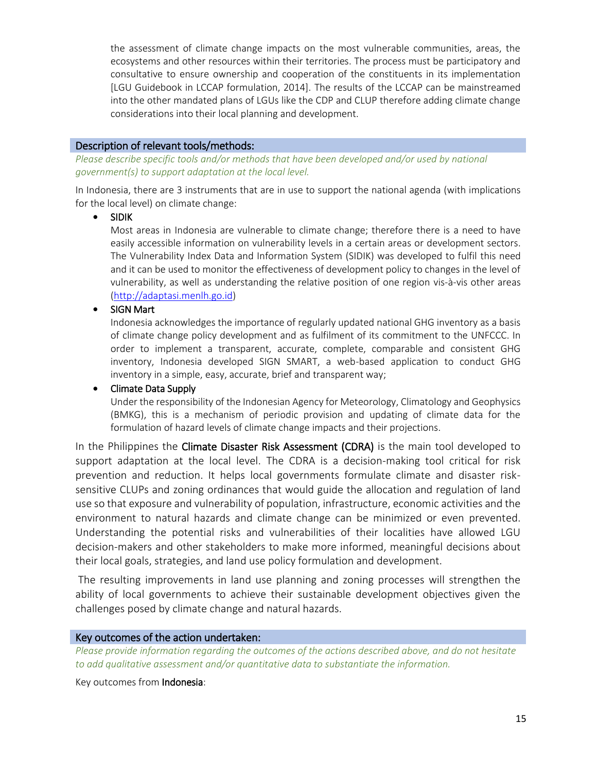the assessment of climate change impacts on the most vulnerable communities, areas, the ecosystems and other resources within their territories. The process must be participatory and consultative to ensure ownership and cooperation of the constituents in its implementation [LGU Guidebook in LCCAP formulation, 2014]. The results of the LCCAP can be mainstreamed into the other mandated plans of LGUs like the CDP and CLUP therefore adding climate change considerations into their local planning and development.

#### Description of relevant tools/methods:

*Please describe specific tools and/or methods that have been developed and/or used by national government(s) to support adaptation at the local level.*

In Indonesia, there are 3 instruments that are in use to support the national agenda (with implications for the local level) on climate change:

• SIDIK

Most areas in Indonesia are vulnerable to climate change; therefore there is a need to have easily accessible information on vulnerability levels in a certain areas or development sectors. The Vulnerability Index Data and Information System (SIDIK) was developed to fulfil this need and it can be used to monitor the effectiveness of development policy to changes in the level of vulnerability, as well as understanding the relative position of one region vis-à-vis other areas [\(http://adaptasi.menlh.go.id\)](http://adaptasi.menlh.go.id/)

• SIGN Mart

Indonesia acknowledges the importance of regularly updated national GHG inventory as a basis of climate change policy development and as fulfilment of its commitment to the UNFCCC. In order to implement a transparent, accurate, complete, comparable and consistent GHG inventory, Indonesia developed SIGN SMART, a web-based application to conduct GHG inventory in a simple, easy, accurate, brief and transparent way;

#### • Climate Data Supply

Under the responsibility of the Indonesian Agency for Meteorology, Climatology and Geophysics (BMKG), this is a mechanism of periodic provision and updating of climate data for the formulation of hazard levels of climate change impacts and their projections.

In the Philippines the Climate Disaster Risk Assessment (CDRA) is the main tool developed to support adaptation at the local level. The CDRA is a decision-making tool critical for risk prevention and reduction. It helps local governments formulate climate and disaster risksensitive CLUPs and zoning ordinances that would guide the allocation and regulation of land use so that exposure and vulnerability of population, infrastructure, economic activities and the environment to natural hazards and climate change can be minimized or even prevented. Understanding the potential risks and vulnerabilities of their localities have allowed LGU decision-makers and other stakeholders to make more informed, meaningful decisions about their local goals, strategies, and land use policy formulation and development.

The resulting improvements in land use planning and zoning processes will strengthen the ability of local governments to achieve their sustainable development objectives given the challenges posed by climate change and natural hazards.

#### Key outcomes of the action undertaken:

*Please provide information regarding the outcomes of the actions described above, and do not hesitate to add qualitative assessment and/or quantitative data to substantiate the information.*

Key outcomes from Indonesia: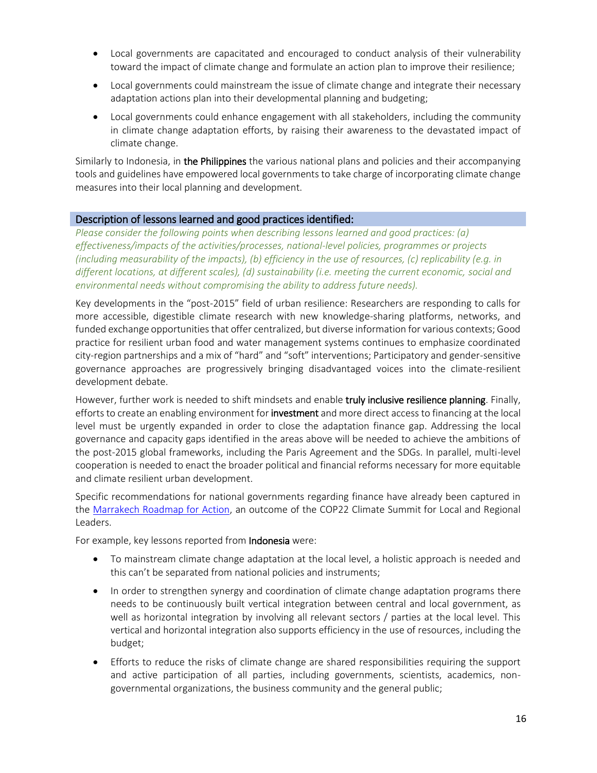- Local governments are capacitated and encouraged to conduct analysis of their vulnerability toward the impact of climate change and formulate an action plan to improve their resilience;
- Local governments could mainstream the issue of climate change and integrate their necessary adaptation actions plan into their developmental planning and budgeting;
- Local governments could enhance engagement with all stakeholders, including the community in climate change adaptation efforts, by raising their awareness to the devastated impact of climate change.

Similarly to Indonesia, in the Philippines the various national plans and policies and their accompanying tools and guidelines have empowered local governments to take charge of incorporating climate change measures into their local planning and development.

#### Description of lessons learned and good practices identified:

*Please consider the following points when describing lessons learned and good practices: (a) effectiveness/impacts of the activities/processes, national-level policies, programmes or projects (including measurability of the impacts), (b) efficiency in the use of resources, (c) replicability (e.g. in different locations, at different scales), (d) sustainability (i.e. meeting the current economic, social and environmental needs without compromising the ability to address future needs).*

Key developments in the "post-2015" field of urban resilience: Researchers are responding to calls for more accessible, digestible climate research with new knowledge-sharing platforms, networks, and funded exchange opportunities that offer centralized, but diverse information for various contexts; Good practice for resilient urban food and water management systems continues to emphasize coordinated city-region partnerships and a mix of "hard" and "soft" interventions; Participatory and gender-sensitive governance approaches are progressively bringing disadvantaged voices into the climate-resilient development debate.

However, further work is needed to shift mindsets and enable **truly inclusive resilience planning**. Finally, efforts to create an enabling environment for investment and more direct access to financing at the local level must be urgently expanded in order to close the adaptation finance gap. Addressing the local governance and capacity gaps identified in the areas above will be needed to achieve the ambitions of the post-2015 global frameworks, including the Paris Agreement and the SDGs. In parallel, multi-level cooperation is needed to enact the broader political and financial reforms necessary for more equitable and climate resilient urban development.

Specific recommendations for national governments regarding finance have already been captured in the [Marrakech Roadmap for Action,](https://www.uclg.org/sites/default/files/cop_22_marrakeck_roadmap_for_action.pdf) an outcome of the COP22 Climate Summit for Local and Regional Leaders.

For example, key lessons reported from **Indonesia** were:

- To mainstream climate change adaptation at the local level, a holistic approach is needed and this can't be separated from national policies and instruments;
- In order to strengthen synergy and coordination of climate change adaptation programs there needs to be continuously built vertical integration between central and local government, as well as horizontal integration by involving all relevant sectors / parties at the local level. This vertical and horizontal integration also supports efficiency in the use of resources, including the budget;
- Efforts to reduce the risks of climate change are shared responsibilities requiring the support and active participation of all parties, including governments, scientists, academics, nongovernmental organizations, the business community and the general public;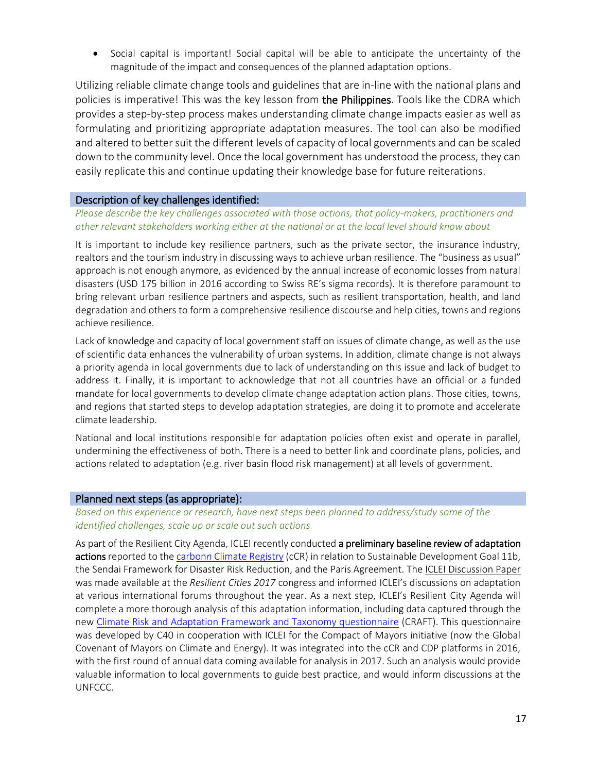• Social capital is important! Social capital will be able to anticipate the uncertainty of the magnitude of the impact and consequences of the planned adaptation options.

Utilizing reliable climate change tools and guidelines that are in-line with the national plans and policies is imperative! This was the key lesson from the Philippines. Tools like the CDRA which provides a step-by-step process makes understanding climate change impacts easier as well as formulating and prioritizing appropriate adaptation measures. The tool can also be modified and altered to better suit the different levels of capacity of local governments and can be scaled down to the community level. Once the local government has understood the process, they can easily replicate this and continue updating their knowledge base for future reiterations.

# Description of key challenges identified:

#### *Please describe the key challenges associated with those actions, that policy-makers, practitioners and other relevant stakeholders working either at the national or at the local level should know about.*

It is important to include key resilience partners, such as the private sector, the insurance industry, realtors and the tourism industry in discussing ways to achieve urban resilience. The "business as usual" approach is not enough anymore, as evidenced by the annual increase of economic losses from natural disasters (USD 175 billion in 2016 according to [Swiss RE's sig](http://institute.swissre.com/research/overview/sigma/2_2017.html)ma records). It is therefore paramount to bring relevant urban resilience partners and aspects, such as resilient transportation, health, and land degradation and others to form a comprehensive resilience discourse and help cities, towns and regions achieve resilience.

Lack of knowledge and capacity of local government staff on issues of climate change, as well as the use of scientific data enhances the vulnerability of urban systems. In addition, climate change is not always a priority agenda in local governments due to lack of understanding on this issue and lack of budget to address it. Finally, it is important to acknowledge that not all countries have an official or a funded mandate for local governments to develop climate change adaptation action plans. Those cities, towns, and regions that started steps to develop adaptation strategies, are doing it to promote and accelerate climate leadership.

National and local institutions responsible for adaptation policies often exist and operate in parallel, undermining the effectiveness of both. There is a need to better link and coordinate plans, policies, and actions related to adaptation (e.g. river basin flood risk management) at all levels of government.

#### Planned next steps (as appropriate):

*Based on this experience or research, have next steps been planned to address/study some of the identified challenges, scale up or scale out such actions.*

As part of the Resilient City Agenda, ICLEI recently conducted a preliminary baseline review of adaptation actions reported to the carbonn [Climate Registry](http://carbonn.org/) (cCR) in relation to Sustainable Development Goal 11b, the Sendai Framework for Disaster Risk Reduction, and the Paris Agreement. The [ICLEI Discussion Paper](http://www.iclei.org/fileadmin/PUBLICATIONS/Agendas/ResilientCity/BaselineReport_First_Assessment_May2017.pdf) was made available at the *Resilient Cities 2017* congress and informed ICLEI's discussions on adaptation at various international forums throughout the year. As a next step, ICLEI's Resilient City Agenda will complete a more thorough analysis of this adaptation information, including data captured through the new [Climate Risk and Adaptation Framework and Taxonomy questionnaire](https://www.arup.com/projects/climate-risk-and-adaption-framework-and-taxonomyproject) (CRAFT). This questionnaire was developed by C40 in cooperation with ICLEI for the Compact of Mayors initiative (now the Global Covenant of Mayors on Climate and Energy). It was integrated into the cCR and CDP platforms in 2016, with the first round of annual data coming available for analysis in 2017. Such an analysis would provide valuable information to local governments to guide best practice, and would inform discussions at the UNFCCC.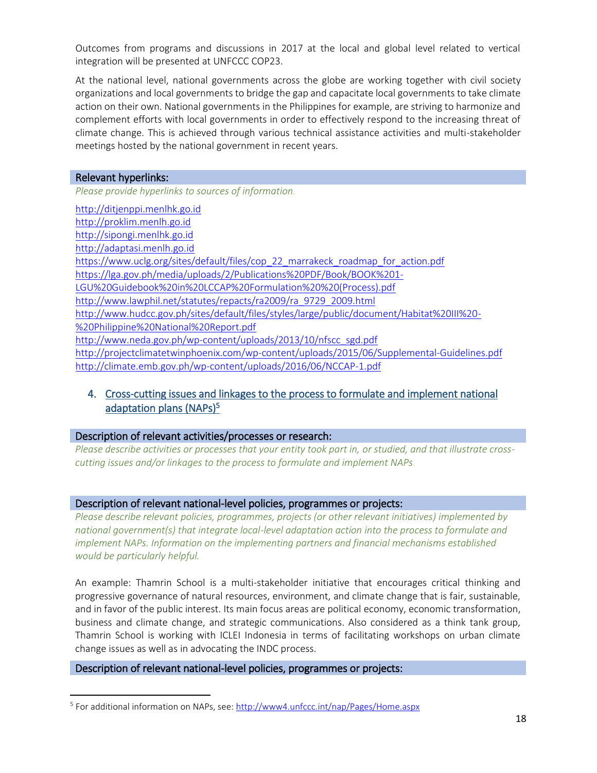Outcomes from programs and discussions in 2017 at the local and global level related to vertical integration will be presented at UNFCCC COP23.

At the national level, national governments across the globe are working together with civil society organizations and local governments to bridge the gap and capacitate local governments to take climate action on their own. National governments in the Philippines for example, are striving to harmonize and complement efforts with local governments in order to effectively respond to the increasing threat of climate change. This is achieved through various technical assistance activities and multi-stakeholder meetings hosted by the national government in recent years.

#### Relevant hyperlinks:

 $\overline{\phantom{a}}$ 

*Please provide hyperlinks to sources of information.*

[http://ditjenppi.menlhk.go.id](http://ditjenppi.menlhk.go.id/) [http://proklim.menlh.go.id](http://proklim.menlh.go.id/) [http://sipongi.menlhk.go.id](http://sipongi.menlhk.go.id/) [http://adaptasi.menlh.go.id](http://adaptasi.menlh.go.id/) [https://www.uclg.org/sites/default/files/cop\\_22\\_marrakeck\\_roadmap\\_for\\_action.pdf](https://www.uclg.org/sites/default/files/cop_22_marrakeck_roadmap_for_action.pdf) [https://lga.gov.ph/media/uploads/2/Publications%20PDF/Book/BOOK%201-](https://lga.gov.ph/media/uploads/2/Publications%20PDF/Book/BOOK%201-LGU%20Guidebook%20in%20LCCAP%20Formulation%20%20(Process).pdf) [LGU%20Guidebook%20in%20LCCAP%20Formulation%20%20\(Process\).pdf](https://lga.gov.ph/media/uploads/2/Publications%20PDF/Book/BOOK%201-LGU%20Guidebook%20in%20LCCAP%20Formulation%20%20(Process).pdf) [http://www.lawphil.net/statutes/repacts/ra2009/ra\\_9729\\_2009.html](http://www.lawphil.net/statutes/repacts/ra2009/ra_9729_2009.html) [http://www.hudcc.gov.ph/sites/default/files/styles/large/public/document/Habitat%20III%20-](http://www.hudcc.gov.ph/sites/default/files/styles/large/public/document/Habitat%20III%20-%20Philippine%20National%20Report.pdf) [%20Philippine%20National%20Report.pdf](http://www.hudcc.gov.ph/sites/default/files/styles/large/public/document/Habitat%20III%20-%20Philippine%20National%20Report.pdf) [http://www.neda.gov.ph/wp-content/uploads/2013/10/nfscc\\_sgd.pdf](http://www.neda.gov.ph/wp-content/uploads/2013/10/nfscc_sgd.pdf) <http://projectclimatetwinphoenix.com/wp-content/uploads/2015/06/Supplemental-Guidelines.pdf> <http://climate.emb.gov.ph/wp-content/uploads/2016/06/NCCAP-1.pdf>

# 4. Cross-cutting issues and linkages to the process to formulate and implement national adaptation plans (NAPs)<sup>5</sup>

#### Description of relevant activities/processes or research:

*Please describe activities or processes that your entity took part in, or studied, and that illustrate crosscutting issues and/or linkages to the process to formulate and implement NAPs.*

#### Description of relevant national-level policies, programmes or projects:

*Please describe relevant policies, programmes, projects (or other relevant initiatives) implemented by national government(s) that integrate local-level adaptation action into the process to formulate and implement NAPs. Information on the implementing partners and financial mechanisms established would be particularly helpful.*

An example: Thamrin School is a multi-stakeholder initiative that encourages critical thinking and progressive governance of natural resources, environment, and climate change that is fair, sustainable, and in favor of the public interest. Its main focus areas are political economy, economic transformation, business and climate change, and strategic communications. Also considered as a think tank group, Thamrin School is working with ICLEI Indonesia in terms of facilitating workshops on urban climate change issues as well as in advocating the INDC process.

#### Description of relevant national-level policies, programmes or projects:

<sup>&</sup>lt;sup>5</sup> For additional information on NAPs, see: <u>http://www4.unfccc.int/nap/Pages/Home.aspx</u>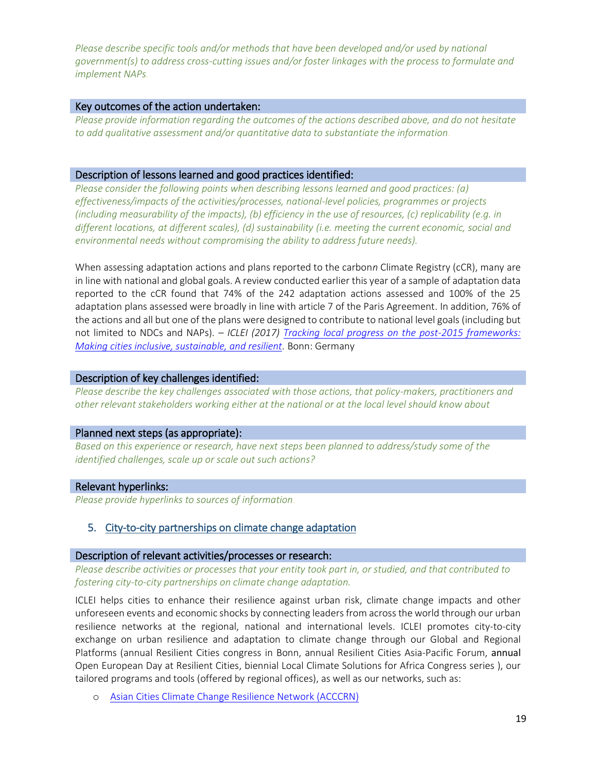*Please describe specific tools and/or methods that have been developed and/or used by national government(s) to address cross-cutting issues and/or foster linkages with the process to formulate and implement NAPs.*

#### Key outcomes of the action undertaken:

*Please provide information regarding the outcomes of the actions described above, and do not hesitate to add qualitative assessment and/or quantitative data to substantiate the information.*

#### Description of lessons learned and good practices identified:

*Please consider the following points when describing lessons learned and good practices: (a) effectiveness/impacts of the activities/processes, national-level policies, programmes or projects (including measurability of the impacts), (b) efficiency in the use of resources, (c) replicability (e.g. in different locations, at different scales), (d) sustainability (i.e. meeting the current economic, social and environmental needs without compromising the ability to address future needs).*

When assessing adaptation actions and plans reported to the carbon*n* Climate Registry (cCR), many are in line with national and global goals. A review conducted earlier this year of a sample of adaptation data reported to the cCR found that 74% of the 242 adaptation actions assessed and 100% of the 25 adaptation plans assessed were broadly in line with article 7 of the Paris Agreement. In addition, 76% of the actions and all but one of the plans were designed to contribute to national level goals (including but not limited to NDCs and NAPs). – *ICLEI (2017) [Tracking local progress on the post-2015 frameworks:](http://www.iclei.org/fileadmin/PUBLICATIONS/Agendas/ResilientCity/BaselineReport_First_Assessment_May2017.pdf)  [Making cities inclusive, sustainable, and resilient.](http://www.iclei.org/fileadmin/PUBLICATIONS/Agendas/ResilientCity/BaselineReport_First_Assessment_May2017.pdf)* Bonn: Germany

#### Description of key challenges identified:

*Please describe the key challenges associated with those actions, that policy-makers, practitioners and other relevant stakeholders working either at the national or at the local level should know about*

#### Planned next steps (as appropriate):

*Based on this experience or research, have next steps been planned to address/study some of the identified challenges, scale up or scale out such actions?*

#### Relevant hyperlinks:

*Please provide hyperlinks to sources of information.*

#### 5. City-to-city partnerships on climate change adaptation

#### Description of relevant activities/processes or research:

*Please describe activities or processes that your entity took part in, or studied, and that contributed to fostering city-to-city partnerships on climate change adaptation.*

ICLEI helps cities to enhance their resilience against urban risk, climate change impacts and other unforeseen events and economic shocks by connecting leaders from across the world through our urban resilience networks at the regional, national and international levels. ICLEI promotes city-to-city exchange on urban resilience and adaptation to climate change through our Global and Regional Platforms (annual Resilient Cities congress in Bonn, annual Resilient Cities Asia-Pacific Forum, annual Open European Day at Resilient Cities, biennial Local Climate Solutions for Africa Congress series ), our tailored programs and tools (offered by regional offices), as well as our networks, such as:

o [Asian Cities Climate Change Resilience Network \(ACCCRN\)](https://www.acccrn.net/)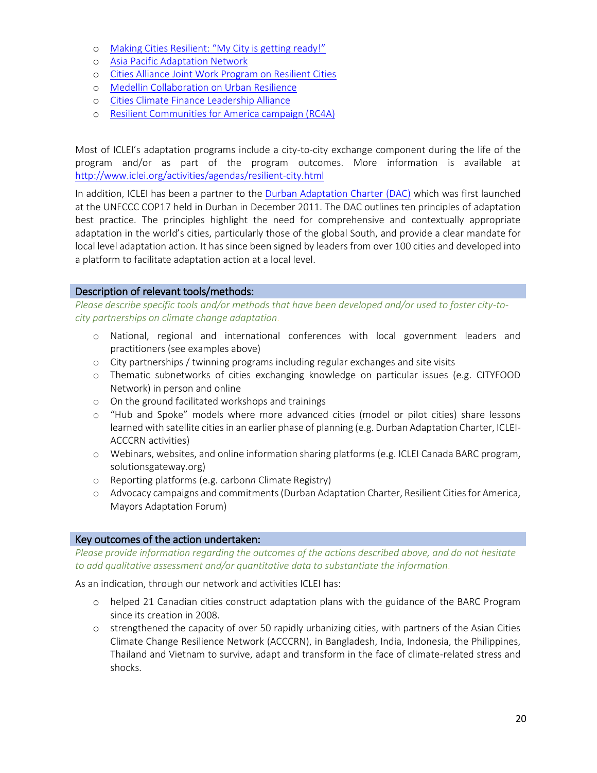- o [Making Cities Resilient: "My City is getting ready!"](http://www.unisdr.org/campaign/resilientcities/)
- o [Asia Pacific Adaptation Network](http://www.apan-gan.net/)
- o [Cities Alliance Joint Work Program on Resilient Cities](http://www.citiesalliance.org/JWP-ResilientCities)
- o [Medellin Collaboration on Urban Resilience](http://www.iclei.org/details/article/medellin-collaboration-for-urban-resilience-commits-to-supporting-4000-cities-and-2-billion-annual.html)
- o [Cities Climate Finance Leadership Alliance](http://www.citiesclimatefinance.org/)
- o [Resilient Communities for America campaign \(RC4A\)](http://icleiusa.org/programs/leadership-campaigns/rc4a/)

Most of ICLEI's adaptation programs include a city-to-city exchange component during the life of the program and/or as part of the program outcomes. More information is available at <http://www.iclei.org/activities/agendas/resilient-city.html>

In addition, ICLEI has been a partner to the [Durban Adaptation Charter \(DAC\)](http://www.durbanadaptationcharter.org/) which was first launched at the UNFCCC COP17 held in Durban in December 2011. The DAC outlines ten principles of adaptation best practice. The principles highlight the need for comprehensive and contextually appropriate adaptation in the world's cities, particularly those of the global South, and provide a clear mandate for local level adaptation action. It has since been signed by leaders from over 100 cities and developed into a platform to facilitate adaptation action at a local level.

#### Description of relevant tools/methods:

*Please describe specific tools and/or methods that have been developed and/or used to foster city-tocity partnerships on climate change adaptation.*

- o National, regional and international conferences with local government leaders and practitioners (see examples above)
- o City partnerships / twinning programs including regular exchanges and site visits
- o Thematic subnetworks of cities exchanging knowledge on particular issues (e.g. CITYFOOD Network) in person and online
- o On the ground facilitated workshops and trainings
- o "Hub and Spoke" models where more advanced cities (model or pilot cities) share lessons learned with satellite cities in an earlier phase of planning (e.g. Durban Adaptation Charter, ICLEI-ACCCRN activities)
- o Webinars, websites, and online information sharing platforms (e.g. ICLEI Canada BARC program, solutionsgateway.org)
- o Reporting platforms (e.g. carbon*n* Climate Registry)
- o Advocacy campaigns and commitments (Durban Adaptation Charter, Resilient Cities for America, Mayors Adaptation Forum)

# Key outcomes of the action undertaken:

*Please provide information regarding the outcomes of the actions described above, and do not hesitate to add qualitative assessment and/or quantitative data to substantiate the information.*

As an indication, through our network and activities ICLEI has:

- o helped 21 Canadian cities construct adaptation plans with the guidance of the BARC Program since its creation in 2008.
- o strengthened the capacity of over 50 rapidly urbanizing cities, with partners of the Asian Cities Climate Change Resilience Network (ACCCRN), in Bangladesh, India, Indonesia, the Philippines, Thailand and Vietnam to survive, adapt and transform in the face of climate-related stress and shocks.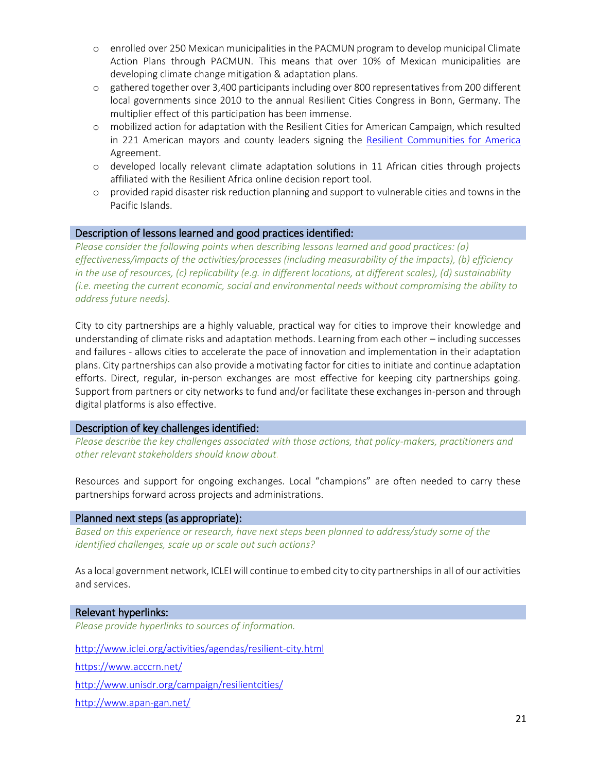- o enrolled over 250 Mexican municipalities in the PACMUN program to develop municipal Climate Action Plans through PACMUN. This means that over 10% of Mexican municipalities are developing climate change mitigation & adaptation plans.
- o gathered together over 3,400 participants including over 800 representativesfrom 200 different local governments since 2010 to the annual Resilient Cities Congress in Bonn, Germany. The multiplier effect of this participation has been immense.
- o mobilized action for adaptation with the Resilient Cities for American Campaign, which resulted in 221 American mayors and county leaders signing the [Resilient Communities for America](http://icleiusa.org/programs/leadership-campaigns/rc4a/) Agreement.
- o developed locally relevant climate adaptation solutions in 11 African cities through projects affiliated with the Resilient Africa online decision report tool.
- o provided rapid disaster risk reduction planning and support to vulnerable cities and towns in the Pacific Islands.

#### Description of lessons learned and good practices identified:

*Please consider the following points when describing lessons learned and good practices: (a) effectiveness/impacts of the activities/processes (including measurability of the impacts), (b) efficiency in the use of resources, (c) replicability (e.g. in different locations, at different scales), (d) sustainability (i.e. meeting the current economic, social and environmental needs without compromising the ability to address future needs).*

City to city partnerships are a highly valuable, practical way for cities to improve their knowledge and understanding of climate risks and adaptation methods. Learning from each other – including successes and failures - allows cities to accelerate the pace of innovation and implementation in their adaptation plans. City partnerships can also provide a motivating factor for cities to initiate and continue adaptation efforts. Direct, regular, in-person exchanges are most effective for keeping city partnerships going. Support from partners or city networks to fund and/or facilitate these exchanges in-person and through digital platforms is also effective.

#### Description of key challenges identified:

*Please describe the key challenges associated with those actions, that policy-makers, practitioners and other relevant stakeholders should know about.*

Resources and support for ongoing exchanges. Local "champions" are often needed to carry these partnerships forward across projects and administrations.

#### Planned next steps (as appropriate):

*Based on this experience or research, have next steps been planned to address/study some of the identified challenges, scale up or scale out such actions?*

As a local government network, ICLEI will continue to embed city to city partnerships in all of our activities and services.

#### Relevant hyperlinks:

*Please provide hyperlinks to sources of information.*

<http://www.iclei.org/activities/agendas/resilient-city.html>

<https://www.acccrn.net/>

<http://www.unisdr.org/campaign/resilientcities/>

<http://www.apan-gan.net/>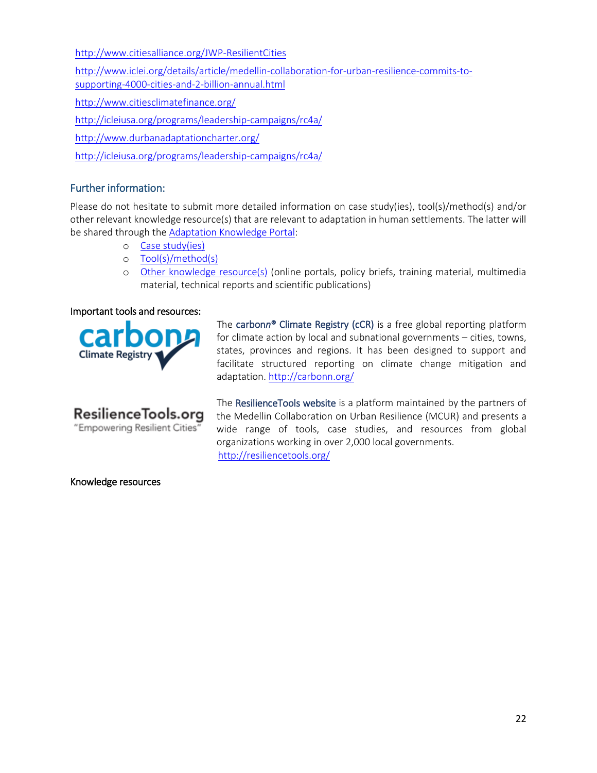<http://www.citiesalliance.org/JWP-ResilientCities>

[http://www.iclei.org/details/article/medellin-collaboration-for-urban-resilience-commits-to](http://www.iclei.org/details/article/medellin-collaboration-for-urban-resilience-commits-to-supporting-4000-cities-and-2-billion-annual.html)[supporting-4000-cities-and-2-billion-annual.html](http://www.iclei.org/details/article/medellin-collaboration-for-urban-resilience-commits-to-supporting-4000-cities-and-2-billion-annual.html) <http://www.citiesclimatefinance.org/>

<http://icleiusa.org/programs/leadership-campaigns/rc4a/>

<http://www.durbanadaptationcharter.org/>

<http://icleiusa.org/programs/leadership-campaigns/rc4a/>

# Further information:

Please do not hesitate to submit more detailed information on case study(ies), tool(s)/method(s) and/or other relevant knowledge resource(s) that are relevant to adaptation in human settlements. The latter will be shared through th[e Adaptation Knowledge Portal:](http://www4.unfccc.int/sites/NWP/Pages/Home.aspx)

- o [Case study\(ies\)](http://www4.unfccc.int/sites/NWP/Pages/SubmitCaseStudy.aspx)
- o [Tool\(s\)/method\(s\)](http://www4.unfccc.int/sites/NWP/Pages/SubmitToolMethod.aspx)
- o [Other knowledge resource\(s\)](http://www4.unfccc.int/sites/NWP/Pages/SubmitKnowledgeResource.aspx) (online portals, policy briefs, training material, multimedia material, technical reports and scientific publications)

#### Important tools and resources:

**Climate Registr** 



The carbon*n*® Climate Registry (cCR) is a free global reporting platform for climate action by local and subnational governments – cities, towns, states, provinces and regions. It has been designed to support and facilitate structured reporting on climate change mitigation and adaptation[. http://carbonn.org/](http://carbonn.org/)

The ResilienceTools website is a platform maintained by the partners of the Medellin Collaboration on Urban Resilience (MCUR) and presents a wide range of tools, case studies, and resources from global organizations working in over 2,000 local governments. <http://resiliencetools.org/>

Knowledge resources